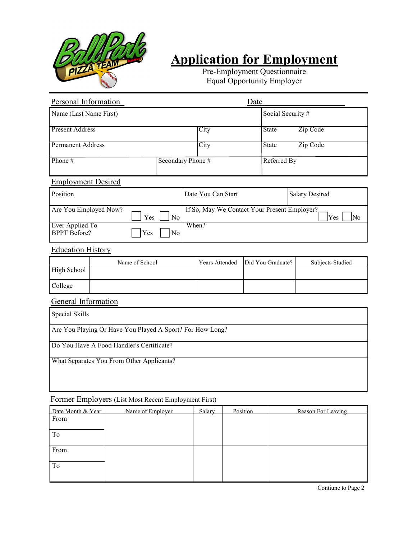

# **Application for Employment**

Pre-Employment Questionnaire Equal Opportunity Employer

| Personal Information                                                                      | Date              |                             |                   |                         |  |  |
|-------------------------------------------------------------------------------------------|-------------------|-----------------------------|-------------------|-------------------------|--|--|
| Name (Last Name First)                                                                    |                   |                             |                   | Social Security #       |  |  |
| <b>Present Address</b>                                                                    |                   | <b>City</b><br><b>State</b> |                   | Zip Code                |  |  |
| <b>Permanent Address</b>                                                                  |                   | City                        | <b>State</b>      | Zip Code                |  |  |
| Phone#                                                                                    | Secondary Phone # | Referred By                 |                   |                         |  |  |
| <b>Employment Desired</b>                                                                 |                   |                             |                   |                         |  |  |
| Position                                                                                  |                   | Date You Can Start          |                   | <b>Salary Desired</b>   |  |  |
| If So, May We Contact Your Present Employer?<br>Are You Employed Now?<br>No<br>Yes<br>Yes |                   |                             |                   | No                      |  |  |
| Ever Applied To<br>When?<br><b>BPPT</b> Before?<br>Yes<br>N <sub>0</sub>                  |                   |                             |                   |                         |  |  |
| <b>Education History</b>                                                                  |                   |                             |                   |                         |  |  |
| Name of School<br>High School                                                             |                   | <b>Years Attended</b>       | Did You Graduate? | <b>Subjects Studied</b> |  |  |
| College                                                                                   |                   |                             |                   |                         |  |  |
| General Information                                                                       |                   |                             |                   |                         |  |  |
| Special Skills                                                                            |                   |                             |                   |                         |  |  |
| Are You Playing Or Have You Played A Sport? For How Long?                                 |                   |                             |                   |                         |  |  |
| Do You Have A Food Handler's Certificate?                                                 |                   |                             |                   |                         |  |  |
| What Separates You From Other Applicants?                                                 |                   |                             |                   |                         |  |  |

# Former Employers (List Most Recent Employment First)

| Date Month & Year | Name of Employer | Salary | Position | Reason For Leaving |
|-------------------|------------------|--------|----------|--------------------|
| From              |                  |        |          |                    |
|                   |                  |        |          |                    |
| To                |                  |        |          |                    |
|                   |                  |        |          |                    |
| From              |                  |        |          |                    |
|                   |                  |        |          |                    |
| To                |                  |        |          |                    |
|                   |                  |        |          |                    |
|                   |                  |        |          |                    |

Contiune to Page 2